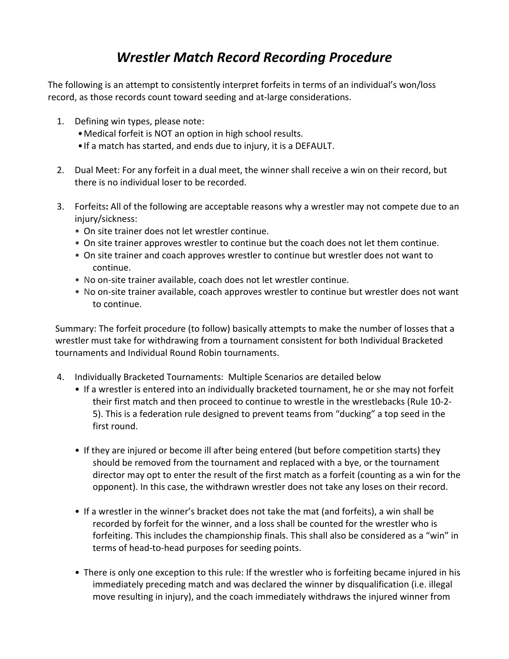## *Wrestler Match Record Recording Procedure*

The following is an attempt to consistently interpret forfeits in terms of an individual's won/loss record, as those records count toward seeding and at-large considerations.

- 1. Defining win types, please note:
	- •Medical forfeit is NOT an option in high school results.
	- •If a match has started, and ends due to injury, it is a DEFAULT.
- 2. Dual Meet: For any forfeit in a dual meet, the winner shall receive a win on their record, but there is no individual loser to be recorded.
- 3. Forfeits**:** All of the following are acceptable reasons why a wrestler may not compete due to an injury/sickness:
	- On site trainer does not let wrestler continue.
	- On site trainer approves wrestler to continue but the coach does not let them continue.
	- On site trainer and coach approves wrestler to continue but wrestler does not want to continue.
	- No on-site trainer available, coach does not let wrestler continue.
	- No on-site trainer available, coach approves wrestler to continue but wrestler does not want to continue.

Summary: The forfeit procedure (to follow) basically attempts to make the number of losses that a wrestler must take for withdrawing from a tournament consistent for both Individual Bracketed tournaments and Individual Round Robin tournaments.

- 4. Individually Bracketed Tournaments: Multiple Scenarios are detailed below
	- If a wrestler is entered into an individually bracketed tournament, he or she may not forfeit their first match and then proceed to continue to wrestle in the wrestlebacks (Rule 10-2- 5). This is a federation rule designed to prevent teams from "ducking" a top seed in the first round.
	- If they are injured or become ill after being entered (but before competition starts) they should be removed from the tournament and replaced with a bye, or the tournament director may opt to enter the result of the first match as a forfeit (counting as a win for the opponent). In this case, the withdrawn wrestler does not take any loses on their record.
	- If a wrestler in the winner's bracket does not take the mat (and forfeits), a win shall be recorded by forfeit for the winner, and a loss shall be counted for the wrestler who is forfeiting. This includes the championship finals. This shall also be considered as a "win" in terms of head-to-head purposes for seeding points.
	- There is only one exception to this rule: If the wrestler who is forfeiting became injured in his immediately preceding match and was declared the winner by disqualification (i.e. illegal move resulting in injury), and the coach immediately withdraws the injured winner from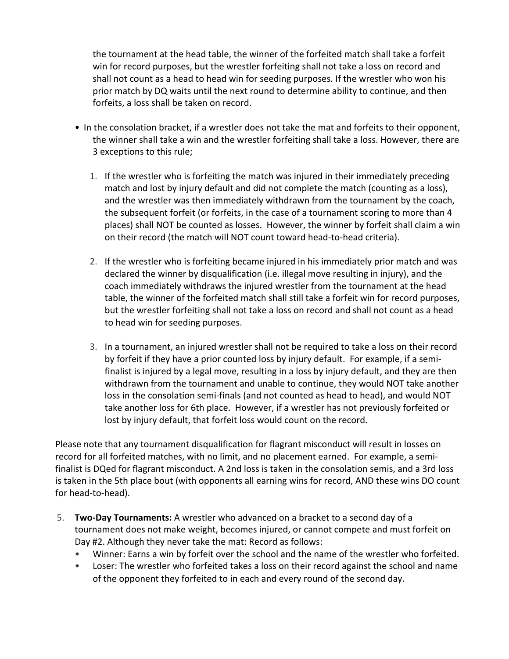the tournament at the head table, the winner of the forfeited match shall take a forfeit win for record purposes, but the wrestler forfeiting shall not take a loss on record and shall not count as a head to head win for seeding purposes. If the wrestler who won his prior match by DQ waits until the next round to determine ability to continue, and then forfeits, a loss shall be taken on record.

- In the consolation bracket, if a wrestler does not take the mat and forfeits to their opponent, the winner shall take a win and the wrestler forfeiting shall take a loss. However, there are 3 exceptions to this rule;
	- 1. If the wrestler who is forfeiting the match was injured in their immediately preceding match and lost by injury default and did not complete the match (counting as a loss), and the wrestler was then immediately withdrawn from the tournament by the coach, the subsequent forfeit (or forfeits, in the case of a tournament scoring to more than 4 places) shall NOT be counted as losses. However, the winner by forfeit shall claim a win on their record (the match will NOT count toward head-to-head criteria).
	- 2. If the wrestler who is forfeiting became injured in his immediately prior match and was declared the winner by disqualification (i.e. illegal move resulting in injury), and the coach immediately withdraws the injured wrestler from the tournament at the head table, the winner of the forfeited match shall still take a forfeit win for record purposes, but the wrestler forfeiting shall not take a loss on record and shall not count as a head to head win for seeding purposes.
	- 3. In a tournament, an injured wrestler shall not be required to take a loss on their record by forfeit if they have a prior counted loss by injury default. For example, if a semifinalist is injured by a legal move, resulting in a loss by injury default, and they are then withdrawn from the tournament and unable to continue, they would NOT take another loss in the consolation semi-finals (and not counted as head to head), and would NOT take another loss for 6th place. However, if a wrestler has not previously forfeited or lost by injury default, that forfeit loss would count on the record.

Please note that any tournament disqualification for flagrant misconduct will result in losses on record for all forfeited matches, with no limit, and no placement earned. For example, a semifinalist is DQed for flagrant misconduct. A 2nd loss is taken in the consolation semis, and a 3rd loss is taken in the 5th place bout (with opponents all earning wins for record, AND these wins DO count for head-to-head).

- 5. **Two-Day Tournaments:** A wrestler who advanced on a bracket to a second day of a tournament does not make weight, becomes injured, or cannot compete and must forfeit on Day #2. Although they never take the mat: Record as follows:
	- Winner: Earns a win by forfeit over the school and the name of the wrestler who forfeited.
	- Loser: The wrestler who forfeited takes a loss on their record against the school and name of the opponent they forfeited to in each and every round of the second day.